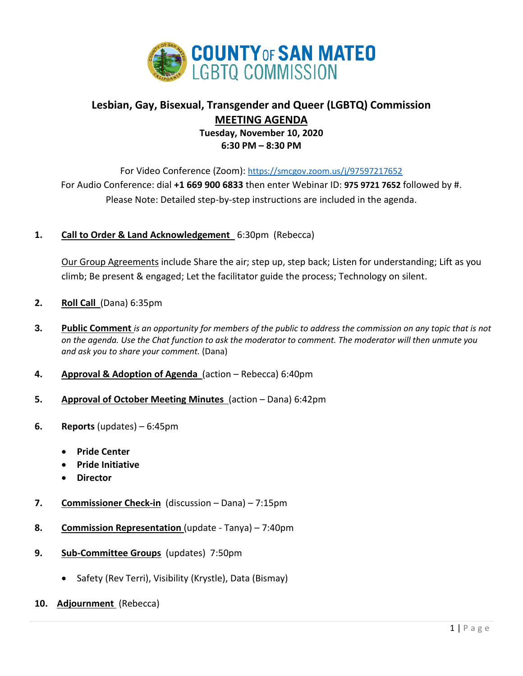

# **Lesbian, Gay, Bisexual, Transgender and Queer (LGBTQ) Commission MEETING AGENDA Tuesday, November 10, 2020 6:30 PM – 8:30 PM**

For Video Conference (Zoom): <https://smcgov.zoom.us/j/97597217652> For Audio Conference: dial **+1 669 900 6833** then enter Webinar ID: **975 9721 7652** followed by #. Please Note: Detailed step-by-step instructions are included in the agenda.

## **1. Call to Order & Land Acknowledgement** 6:30pm (Rebecca)

Our Group Agreements include Share the air; step up, step back; Listen for understanding; Lift as you climb; Be present & engaged; Let the facilitator guide the process; Technology on silent.

- **2. Roll Call** (Dana) 6:35pm
- **3. Public Comment** *is an opportunity for members of the public to address the commission on any topic that is not on the agenda. Use the Chat function to ask the moderator to comment. The moderator will then unmute you and ask you to share your comment.* (Dana)
- **4. Approval & Adoption of Agenda** (action Rebecca) 6:40pm
- **5. Approval of October Meeting Minutes** (action Dana) 6:42pm
- **6. Reports** (updates) 6:45pm
	- **Pride Center**
	- **Pride Initiative**
	- **Director**
- **7. Commissioner Check-in** (discussion Dana) 7:15pm
- **8. Commission Representation** (update Tanya) 7:40pm
- **9. Sub-Committee Groups** (updates) 7:50pm
	- Safety (Rev Terri), Visibility (Krystle), Data (Bismay)
- **10. Adjournment** (Rebecca)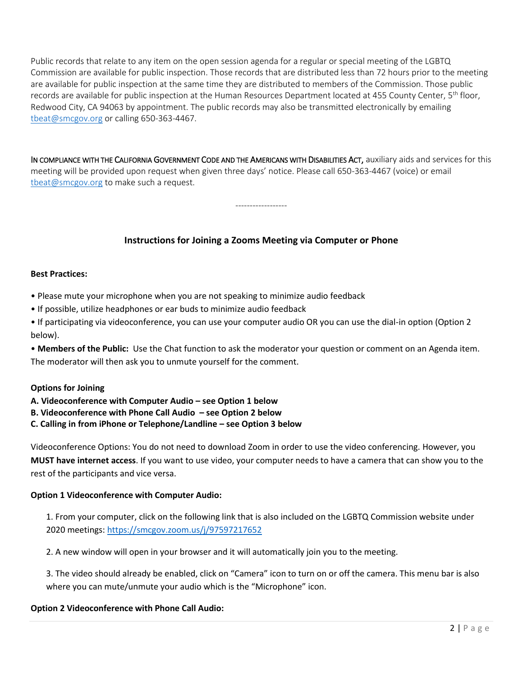Public records that relate to any item on the open session agenda for a regular or special meeting of the LGBTQ Commission are available for public inspection. Those records that are distributed less than 72 hours prior to the meeting are available for public inspection at the same time they are distributed to members of the Commission. Those public records are available for public inspection at the Human Resources Department located at 455 County Center, 5<sup>th</sup> floor, Redwood City, CA 94063 by appointment. The public records may also be transmitted electronically by emailing [tbeat@smcgov.org](mailto:tbeat@smcgov.org) or calling 650-363-4467.

IN COMPLIANCE WITH THE CALIFORNIA GOVERNMENT CODE AND THE AMERICANS WITH DISABILITIES ACT, auxiliary aids and services for this meeting will be provided upon request when given three days' notice. Please call 650-363-4467 (voice) or email [tbeat@smcgov.org](mailto:tbeat@smcgov.org) to make such a request.

------------------

## **Instructions for Joining a Zooms Meeting via Computer or Phone**

#### **Best Practices:**

- Please mute your microphone when you are not speaking to minimize audio feedback
- If possible, utilize headphones or ear buds to minimize audio feedback
- If participating via videoconference, you can use your computer audio OR you can use the dial-in option (Option 2 below).

• **Members of the Public:** Use the Chat function to ask the moderator your question or comment on an Agenda item. The moderator will then ask you to unmute yourself for the comment.

## **Options for Joining**

## **A. Videoconference with Computer Audio – see Option 1 below**

- **B. Videoconference with Phone Call Audio – see Option 2 below**
- **C. Calling in from iPhone or Telephone/Landline – see Option 3 below**

Videoconference Options: You do not need to download Zoom in order to use the video conferencing. However, you **MUST have internet access**. If you want to use video, your computer needs to have a camera that can show you to the rest of the participants and vice versa.

## **Option 1 Videoconference with Computer Audio:**

1. From your computer, click on the following link that is also included on the LGBTQ Commission website under 2020 meetings:<https://smcgov.zoom.us/j/97597217652>

2. A new window will open in your browser and it will automatically join you to the meeting.

3. The video should already be enabled, click on "Camera" icon to turn on or off the camera. This menu bar is also where you can mute/unmute your audio which is the "Microphone" icon.

## **Option 2 Videoconference with Phone Call Audio:**